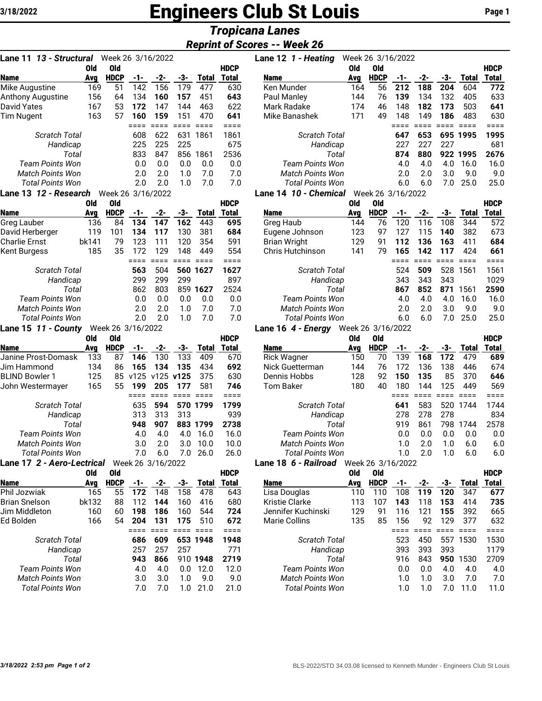# **Engineers Club St Louis Page 1** Page 1

## *Tropicana Lanes*

#### *Reprint of Scores -- Week 26*

| Lane 11 <i>13 - Structural</i> |     | Week 26 3/16/2022 |     |     |     |              |              |
|--------------------------------|-----|-------------------|-----|-----|-----|--------------|--------------|
|                                | Old | Old               |     |     |     |              | <b>HDCP</b>  |
| <b>Name</b>                    | Ava | <b>HDCP</b>       | -1- | -2- | -3- | <b>Total</b> | <b>Total</b> |
| Mike Augustine                 | 169 | 51                | 142 | 156 | 179 | 477          | 630          |
| Anthony Augustine              | 156 | 64                | 134 | 160 | 157 | 451          | 643          |
| David Yates                    | 167 | 53                | 172 | 147 | 144 | 463          | 622          |
| <b>Tim Nugent</b>              | 163 | 57                | 160 | 159 | 151 | 470          | 641          |
|                                |     |                   |     |     |     |              | ====         |
| Scratch Total                  |     |                   | 608 | 622 | 631 | 1861         | 1861         |
| Handicap                       |     |                   | 225 | 225 | 225 |              | 675          |
| Total                          |     |                   | 833 | 847 | 856 | 1861         | 2536         |
| Team Points Won                |     |                   | 0.0 | 0.0 | 0.0 | 0.0          | 0.0          |
| Match Points Won               |     |                   | 2.0 | 2.0 | 1.0 | 7.0          | 7.0          |
| Total Points Won               |     |                   | 2.0 | 2.0 | 1.0 | 7.0          | 7.0          |
| Lane 13 <i>12 - Research</i>   |     | Week 26 3/16/2022 |     |     |     |              |              |

|                      | Old   | Old         |     |     |     |          | HDCP  |
|----------------------|-------|-------------|-----|-----|-----|----------|-------|
| Name                 | Ava   | <b>HDCP</b> | -1- | -2- | -3- | Total    | Total |
| Greg Lauber          | 136   | 84          | 134 | 147 | 162 | 443      | 695   |
| David Herberger      | 119   | 101         | 134 | 117 | 130 | 381      | 684   |
| Charlie Ernst        | bk141 | 79          | 123 | 111 | 120 | 354      | 591   |
| Kent Burgess         | 185   | 35          | 172 | 129 | 148 | 449      | 554   |
|                      |       |             |     |     |     |          | ===   |
| <b>Scratch Total</b> |       |             | 563 | 504 |     | 560 1627 | 1627  |
| Handicap             |       |             | 299 | 299 | 299 |          | 897   |
|                      | Total |             | 862 | 803 | 859 | 1627     | 2524  |
| Team Points Won      |       |             | 0.0 | 0.0 | 0.0 | 0.0      | 0.0   |
| Match Points Won     |       |             | 2.0 | 2.0 | 1.0 | 7.0      | 7.0   |
| Total Points Won     |       |             | 2.0 | 2.0 | 1.0 | 7.0      | 7.0   |
|                      |       |             | .   |     |     |          |       |

**Lane 15** *11 - County* Week 26 3/16/2022

|                                   | <b>Old</b> | Old  |      |                   |               |          | <b>HDCP</b> |
|-----------------------------------|------------|------|------|-------------------|---------------|----------|-------------|
| Name                              | Avg        | HDCP | -1-  | -2-               | -3-           | Total    | Total       |
| Janine Prost-Domask               | 133        | 87   | 146  | 130               | 133           | 409      | 670         |
| Jim Hammond                       | 134        | 86   | 165  | 134               | 135           | 434      | 692         |
| <b>BLIND Bowler 1</b>             | 125        | 85   | v125 |                   | $v125$ $v125$ | 375      | 630         |
| John Westermayer                  | 165        | 55   | 199  | 205               | 177           | 581      | 746         |
|                                   |            |      |      |                   |               |          | ===         |
| <b>Scratch Total</b>              |            |      | 635  | 594               |               | 570 1799 | 1799        |
| Handicap                          |            |      | 313  | 313               | 313           |          | 939         |
| Total                             |            |      | 948  | 907               |               | 883 1799 | 2738        |
| Team Points Won                   |            |      | 4.0  | 4.0               | 4.0           | 16.0     | 16.0        |
| Match Points Won                  |            |      | 3.0  | 2.0               | 3.0           | 10.0     | 10.0        |
| Total Points Won                  |            |      | 7.0  | 6.0               | 7.0           | 26.0     | 26.0        |
| Lane 17 <i>2 - Aero-Lectrical</i> |            |      |      | Week 26 3/16/2022 |               |          |             |

|                      | Old   | 0ld         |     |     |     |          | <b>HDCP</b> |
|----------------------|-------|-------------|-----|-----|-----|----------|-------------|
| Name                 | Avg   | <b>HDCP</b> | -1- | -2- | -3- | Total    | Total       |
| Phil Jozwiak         | 165   | 55          | 172 | 148 | 158 | 478      | 643         |
| <b>Brian Snelson</b> | bk132 | 88          | 112 | 144 | 160 | 416      | 680         |
| Jim Middleton        | 160   | 60          | 198 | 186 | 160 | 544      | 724         |
| Ed Bolden            | 166   | 54          | 204 | 131 | 175 | 510      | 672         |
|                      |       |             |     |     |     |          |             |
| <b>Scratch Total</b> |       |             | 686 | 609 |     | 653 1948 | 1948        |
| Handicap             |       |             | 257 | 257 | 257 |          | 771         |
| Total                |       |             | 943 | 866 | 910 | 1948     | 2719        |
| Team Points Won      |       |             | 4.0 | 4.0 | 0.0 | 12.0     | 12.0        |
| Match Points Won     |       |             | 3.0 | 3.0 | 1.0 | 9.0      | 9.0         |
| Total Points Won     |       |             | 7.0 | 7.0 | 1.0 | 21.0     | 21.0        |
|                      |       |             |     |     |     |          |             |

| Lane 11 <i>13 - Structural</i> |     | Week 26 3/16/2022             |     |     |     |              |             | Lane 12 1 - Heating     | Week 26 3/16/2022 |                            |     |     |     |          |              |
|--------------------------------|-----|-------------------------------|-----|-----|-----|--------------|-------------|-------------------------|-------------------|----------------------------|-----|-----|-----|----------|--------------|
|                                | 0ld | 0ld                           |     |     |     |              | <b>HDCP</b> |                         | Old               | 0ld                        |     |     |     |          | <b>HDCP</b>  |
| <b>Name</b>                    | Ava | <b>HDCP</b>                   | -1- | -2- | -3- | <b>Total</b> | Total       | <b>Name</b>             | Avg               | <b>HDCP</b>                | -1- | -2- | -3- | Total    | <b>Total</b> |
| Mike Augustine                 | 169 | 51                            | 142 | 156 | 179 | 477          | 630         | Ken Munder              | 164               | 56                         | 212 | 188 | 204 | 604      | 772          |
| Anthony Augustine              | 156 | 64                            | 134 | 160 | 157 | 451          | 643         | Paul Manley             | 144               | 76                         | 139 | 134 | 132 | 405      | 633          |
| David Yates                    | 167 | 53                            | 172 | 147 | 144 | 463          | 622         | Mark Radake             | 174               | 46                         | 148 | 182 | 173 | 503      | 641          |
| Tim Nugent                     | 163 | 57                            | 160 | 159 | 151 | 470          | 641         | Mike Banashek           | 171               | 49                         | 148 | 149 | 186 | 483      | 630          |
|                                |     |                               |     |     |     |              |             |                         |                   |                            |     |     |     |          |              |
| <b>Scratch Total</b>           |     |                               | 608 | 622 | 631 | 1861         | 1861        | <b>Scratch Total</b>    |                   |                            | 647 | 653 |     | 695 1995 | 1995         |
| Handicap                       |     |                               | 225 | 225 | 225 |              | 675         | Handicap                |                   |                            | 227 | 227 | 227 |          | 681          |
| Total                          |     |                               | 833 | 847 | 856 | 1861         | 2536        | Total                   |                   |                            | 874 | 880 |     | 922 1995 | 2676         |
| <b>Team Points Won</b>         |     |                               | 0.0 | 0.0 | 0.0 | 0.0          | 0.0         | <b>Team Points Won</b>  |                   |                            | 4.0 | 4.0 | 4.0 | 16.0     | 16.0         |
| <b>Match Points Won</b>        |     |                               | 2.0 | 2.0 | 1.O | 7.0          | 7.0         | <b>Match Points Won</b> |                   |                            | 2.0 | 2.0 | 3.0 | 9.0      | 9.0          |
| <b>Total Points Won</b>        |     |                               | 2.0 | 2.0 | 1.O | 7.0          | 7.0         | <b>Total Points Won</b> |                   |                            | 6.0 | 6.0 | 7.0 | 25.0     | 25.0         |
| ano 12 12 - Docoarch           |     | $M_{\odot}$ $\sim$ 0.116/2022 |     |     |     |              |             | ano 14 10 - Chamical    |                   | $M_{\odot}$ of $2/16/2022$ |     |     |     |          |              |

#### **Lane 14** *10 - Chemical* Week 26 3/16/2022

|                         | Old   | 0ld         |      |     |     |              | <b>HDCP</b> |                         | Old | 0ld         |     |     |     |       | <b>HDCP</b> |
|-------------------------|-------|-------------|------|-----|-----|--------------|-------------|-------------------------|-----|-------------|-----|-----|-----|-------|-------------|
| <b>Name</b>             | Ava   | <b>HDCP</b> | $-1$ | -2- | -3- | <b>Total</b> | Total       | <b>Name</b>             | Avg | <b>HDCP</b> | -1- | -2- | -3- | Total | Total       |
| Greg Lauber             | 136   | 84          | 134  | 147 | 162 | 443          | 695         | Greg Haub               | 144 | 76          | 120 | 116 | 108 | 344   | 572         |
| David Herberger         | 119   | 101         | 134  | 117 | 130 | 381          | 684         | Eugene Johnson          | 123 | 97          | 127 | 115 | 140 | 382   | 673         |
| Charlie Ernst           | bk141 | 79          | 123  | 111 | 120 | 354          | 591         | <b>Brian Wright</b>     | 129 | 91          | 112 | 136 | 163 | 411   | 684         |
| Kent Burgess            | 185   | 35          | 172  | 129 | 148 | 449          | 554         | Chris Hutchinson        | 141 | 79          | 165 | 142 | 117 | 424   | 661         |
|                         |       |             |      |     |     |              |             |                         |     |             |     |     |     |       |             |
| <b>Scratch Total</b>    |       |             | 563  | 504 |     | 560 1627     | 1627        | <b>Scratch Total</b>    |     |             | 524 | 509 | 528 | 1561  | 1561        |
| Handicap                |       |             | 299  | 299 | 299 |              | 897         | Handicap                |     |             | 343 | 343 | 343 |       | 1029        |
| Total                   |       |             | 862  | 803 | 859 | 1627         | 2524        | Total                   |     |             | 867 | 852 | 871 | 1561  | 2590        |
| Team Points Won         |       |             | 0.0  | 0.0 | 0.0 | 0.0          | 0.0         | Team Points Won         |     |             | 4.0 | 4.0 | 4.0 | 16.0  | 16.0        |
| <b>Match Points Won</b> |       |             | 2.0  | 2.0 | 1.0 | 7.0          | 7.0         | <b>Match Points Won</b> |     |             | 2.0 | 2.0 | 3.0 | 9.0   | 9.0         |
| <b>Total Points Won</b> |       |             | 2.0  | 2.0 | 1.0 | 7.0          | 7.0         | Total Points Won        |     |             | 6.0 | 6.0 | 7.0 | 25.0  | 25.0        |
|                         |       |             |      |     |     |              |             |                         |     |             |     |     |     |       |             |

#### **Lane 16** *4 - Energy* Week 26 3/16/2022

|                         |     |             |      |     |               |          |             | --                      |     |             |     |     |     |       |             |
|-------------------------|-----|-------------|------|-----|---------------|----------|-------------|-------------------------|-----|-------------|-----|-----|-----|-------|-------------|
|                         | Old | 0ld         |      |     |               |          | <b>HDCP</b> |                         | Old | 0ld         |     |     |     |       | <b>HDCP</b> |
| <b>Name</b>             | Ava | <b>HDCP</b> | $-1$ | -2- | -3-           | Total    | Total       | <b>Name</b>             | Avg | <b>HDCP</b> |     | -2- | -3- | Total | Total       |
| Janine Prost-Domask     | 133 | 87          | 146  | 130 | 133           | 409      | 670         | <b>Rick Wagner</b>      | 150 | 70          | 139 | 168 | 172 | 479   | 689         |
| Jim Hammond             | 134 | 86          | 165  | 134 | 135           | 434      | 692         | <b>Nick Guetterman</b>  | 144 | 76          | 172 | 136 | 138 | 446   | 674         |
| <b>BLIND Bowler 1</b>   | 125 | 85          | v125 |     | $v125$ $v125$ | 375      | 630         | Dennis Hobbs            | 128 | 92          | 150 | 135 | 85  | 370   | 646         |
| John Westermayer        | 165 | 55          | 199  | 205 | 177           | 581      | 746         | Tom Baker               | 180 | 40          | 180 | 144 | 125 | 449   | 569         |
|                         |     |             |      |     |               |          |             |                         |     |             |     |     |     |       |             |
| <b>Scratch Total</b>    |     |             | 635  | 594 |               | 570 1799 | 1799        | <b>Scratch Total</b>    |     |             | 641 | 583 | 520 | 1744  | 1744        |
| Handicap                |     |             | 313  | 313 | 313           |          | 939         | Handicap                |     |             | 278 | 278 | 278 |       | 834         |
| Total                   |     |             | 948  | 907 | 883           | 1799     | 2738        | Total                   |     |             | 919 | 861 | 798 | 1744  | 2578        |
| <b>Team Points Won</b>  |     |             | 4.0  | 4.0 | 4.0           | 16.0     | 16.0        | Team Points Won         |     |             | 0.0 | 0.0 | 0.0 | 0.0   | 0.0         |
| <b>Match Points Won</b> |     |             | 3.0  | 2.0 | 3.0           | 10.0     | 10.0        | <b>Match Points Won</b> |     |             | 1.0 | 2.0 | 1.0 | 6.0   | 6.0         |
| <b>Total Points Won</b> |     |             | 7.0  | 6.0 | 7.0           | 26.0     | 26.0        | Total Points Won        |     |             | 1.0 | 2.0 | 1.0 | 6.0   | 6.0         |
|                         |     |             |      |     |               |          |             |                         |     |             |     |     |     |       |             |

### **Lane 18** *6 - Railroad* Week 26 3/16/2022

| Old                     | Old         |            |     |     |       | <b>HDCP</b> |                       | Old | 0ld                                                                                                |     |     |     |       | <b>HDCP</b> |
|-------------------------|-------------|------------|-----|-----|-------|-------------|-----------------------|-----|----------------------------------------------------------------------------------------------------|-----|-----|-----|-------|-------------|
| Avg                     | <b>HDCP</b> |            | -2- | -3- | Total | Total       | <b>Name</b>           | Avg | <b>HDCP</b>                                                                                        |     | -2- | -3- | Total | Total       |
|                         | 55          | 172        | 148 | 158 | 478   | 643         | Lisa Douglas          | 110 | 110                                                                                                | 108 | 119 | 120 | 347   | 677         |
| bk132                   | 88          | 112        | 144 | 160 | 416   | 680         | <b>Kristie Clarke</b> | 113 | 107                                                                                                | 143 | 118 | 153 | 414   | 735         |
| 160                     | 60          | 198        | 186 | 160 | 544   | 724         | Jennifer Kuchinski    | 129 | 91                                                                                                 | 16  | 121 | 155 | 392   | 665         |
|                         | 54          | 204        | 131 | 175 | 510   | 672         | Marie Collins         | 135 | 85                                                                                                 | 156 | 92  | 129 | 377   | 632         |
|                         |             |            |     |     |       |             |                       |     |                                                                                                    |     |     |     |       |             |
| Scratch Total           |             | 686        | 609 |     | 1948  | 1948        |                       |     |                                                                                                    | 523 | 45C | 557 | 1530  | 1530        |
| Handicap                |             | 257        | 257 | 257 |       | 771         |                       |     |                                                                                                    | 393 | 393 | 393 |       | 1179        |
| Total                   |             | 943        | 866 | 910 | 1948  | 2719        | Total                 |     |                                                                                                    | 916 | 843 | 950 | 1530  | 2709        |
| Team Points Won         |             | 4.0        | 4.0 | 0.0 | 12.0  | 12.0        |                       |     |                                                                                                    | 0.0 | 0.0 | 4.0 | 4.0   | 4.0         |
| Match Points Won        |             | 3.0        | 3.0 | 1.0 | 9.0   | 9.0         |                       |     |                                                                                                    | 1.0 | 1.0 | 3.0 | 7.0   | 7.0         |
| <b>Total Points Won</b> |             | 7.0        | 7.0 | .0  | 21.0  | 21.0        |                       |     |                                                                                                    | 1.0 | 1.0 | 7.0 | 11.0  | 11.0        |
|                         |             | 165<br>166 |     |     |       | 653         |                       |     | Scratch Total<br>Handicap<br>Team Points Won<br><b>Match Points Won</b><br><b>Total Points Won</b> |     |     |     |       |             |